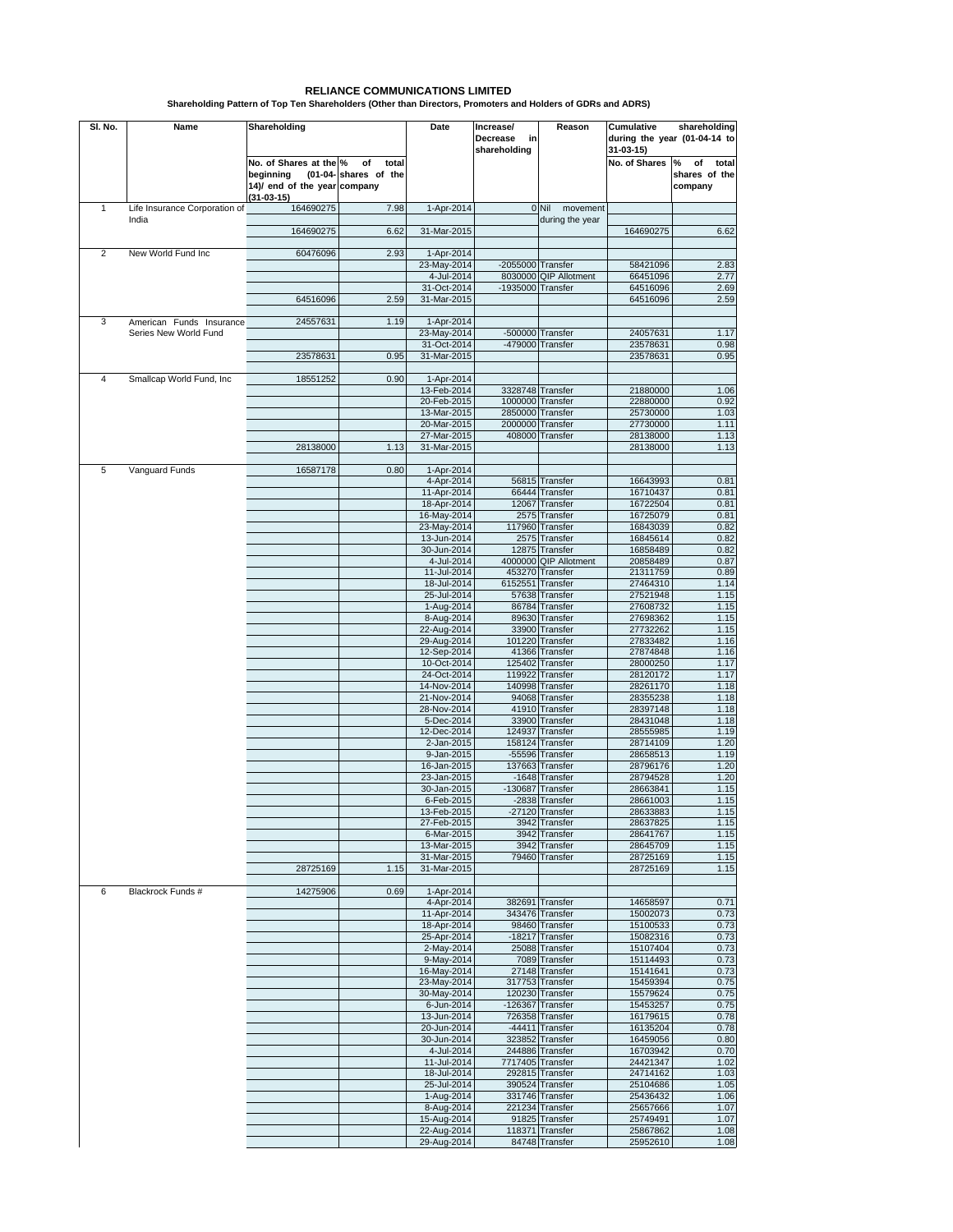| SI. No.        | Name                          | Shareholding                                                                      |                                      | Date                       | Increase/<br>Decrease<br>in<br>shareholding | Reason                              | shareholding<br>Cumulative<br>during the year (01-04-14 to<br>31-03-15) |                                              |
|----------------|-------------------------------|-----------------------------------------------------------------------------------|--------------------------------------|----------------------------|---------------------------------------------|-------------------------------------|-------------------------------------------------------------------------|----------------------------------------------|
|                |                               | No. of Shares at the %<br>beginning<br>14)/ end of the year company<br>(31-03-15) | of<br>total<br>(01-04- shares of the |                            |                                             |                                     | No. of Shares                                                           | of<br>total<br>%<br>shares of the<br>company |
| 1              | Life Insurance Corporation of | 164690275                                                                         | 7.98                                 | 1-Apr-2014                 |                                             | $0$ Nil<br>movement                 |                                                                         |                                              |
|                | India                         | 164690275                                                                         | 6.62                                 | 31-Mar-2015                |                                             | during the year                     | 164690275                                                               | 6.62                                         |
| 2              | New World Fund Inc            | 60476096                                                                          | 2.93                                 | 1-Apr-2014                 |                                             |                                     |                                                                         |                                              |
|                |                               |                                                                                   |                                      | 23-May-2014                | $-2055000$ Transfer                         |                                     | 58421096                                                                | 2.83                                         |
|                |                               |                                                                                   |                                      | 4-Jul-2014<br>31-Oct-2014  | -1935000 Transfer                           | 8030000 QIP Allotment               | 66451096<br>64516096                                                    | 2.77<br>2.69                                 |
|                |                               | 64516096                                                                          | 2.59                                 | 31-Mar-2015                |                                             |                                     | 64516096                                                                | 2.59                                         |
| 3              | American Funds Insurance      | 24557631                                                                          | 1.19                                 | 1-Apr-2014                 |                                             |                                     |                                                                         |                                              |
|                | Series New World Fund         |                                                                                   |                                      | 23-May-2014                |                                             | -500000 Transfer                    | 24057631                                                                | 1.17                                         |
|                |                               | 23578631                                                                          | 0.95                                 | 31-Oct-2014<br>31-Mar-2015 |                                             | -479000 Transfer                    | 23578631<br>23578631                                                    | 0.98<br>0.95                                 |
|                |                               |                                                                                   |                                      |                            |                                             |                                     |                                                                         |                                              |
| $\overline{4}$ | Smallcap World Fund, Inc.     | 18551252                                                                          | 0.90                                 | 1-Apr-2014<br>13-Feb-2014  |                                             | 3328748 Transfer                    | 21880000                                                                | 1.06                                         |
|                |                               |                                                                                   |                                      | 20-Feb-2015                |                                             | 1000000 Transfer                    | 22880000                                                                | 0.92                                         |
|                |                               |                                                                                   |                                      | 13-Mar-2015                |                                             | 2850000 Transfer                    | 25730000                                                                | 1.03                                         |
|                |                               |                                                                                   |                                      | 20-Mar-2015<br>27-Mar-2015 |                                             | 2000000 Transfer<br>408000 Transfer | 27730000<br>28138000                                                    | 1.11<br>1.13                                 |
|                |                               | 28138000                                                                          | 1.13                                 | 31-Mar-2015                |                                             |                                     | 28138000                                                                | 1.13                                         |
|                |                               |                                                                                   |                                      |                            |                                             |                                     |                                                                         |                                              |
| 5              | Vanguard Funds                | 16587178                                                                          | 0.80                                 | 1-Apr-2014<br>4-Apr-2014   |                                             | 56815 Transfer                      | 16643993                                                                | 0.81                                         |
|                |                               |                                                                                   |                                      | 11-Apr-2014                |                                             | 66444 Transfer                      | 16710437                                                                | 0.81                                         |
|                |                               |                                                                                   |                                      | 18-Apr-2014                |                                             | 12067 Transfer                      | 16722504                                                                | 0.81                                         |
|                |                               |                                                                                   |                                      | 16-May-2014<br>23-May-2014 |                                             | 2575 Transfer<br>117960 Transfer    | 16725079<br>16843039                                                    | 0.81<br>0.82                                 |
|                |                               |                                                                                   |                                      | 13-Jun-2014                |                                             | 2575 Transfer                       | 16845614                                                                | 0.82                                         |
|                |                               |                                                                                   |                                      | 30-Jun-2014                |                                             | 12875 Transfer                      | 16858489                                                                | 0.82                                         |
|                |                               |                                                                                   |                                      | 4-Jul-2014                 |                                             | 4000000 QIP Allotment               | 20858489                                                                | 0.87                                         |
|                |                               |                                                                                   |                                      | 11-Jul-2014<br>18-Jul-2014 |                                             | 453270 Transfer<br>6152551 Transfer | 21311759<br>27464310                                                    | 0.89<br>1.14                                 |
|                |                               |                                                                                   |                                      | 25-Jul-2014                |                                             | 57638 Transfer                      | 27521948                                                                | 1.15                                         |
|                |                               |                                                                                   |                                      | 1-Aug-2014                 |                                             | 86784 Transfer                      | 27608732                                                                | 1.15                                         |
|                |                               |                                                                                   |                                      | 8-Aug-2014                 |                                             | 89630 Transfer                      | 27698362                                                                | 1.15                                         |
|                |                               |                                                                                   |                                      | 22-Aug-2014<br>29-Aug-2014 |                                             | 33900 Transfer<br>101220 Transfer   | 27732262<br>27833482                                                    | 1.15<br>1.16                                 |
|                |                               |                                                                                   |                                      | 12-Sep-2014                |                                             | 41366 Transfer                      | 27874848                                                                | 1.16                                         |
|                |                               |                                                                                   |                                      | 10-Oct-2014                |                                             | 125402 Transfer                     | 28000250                                                                | 1.17                                         |
|                |                               |                                                                                   |                                      | 24-Oct-2014<br>14-Nov-2014 |                                             | 119922 Transfer<br>140998 Transfer  | 28120172<br>28261170                                                    | 1.17<br>1.18                                 |
|                |                               |                                                                                   |                                      | 21-Nov-2014                |                                             | 94068 Transfer                      | 28355238                                                                | 1.18                                         |
|                |                               |                                                                                   |                                      | 28-Nov-2014                |                                             | 41910 Transfer                      | 28397148                                                                | 1.18                                         |
|                |                               |                                                                                   |                                      | 5-Dec-2014<br>12-Dec-2014  |                                             | 33900 Transfer<br>124937 Transfer   | 28431048<br>28555985                                                    | 1.18<br>1.19                                 |
|                |                               |                                                                                   |                                      | 2-Jan-2015                 |                                             | 158124 Transfer                     | 28714109                                                                | 1.20                                         |
|                |                               |                                                                                   |                                      | 9-Jan-2015                 |                                             | -55596 Transfer                     | 28658513                                                                | 1.19                                         |
|                |                               |                                                                                   |                                      | 16-Jan-2015                |                                             | 137663 Transfer                     | 28796176                                                                | 1.20                                         |
|                |                               |                                                                                   |                                      | 23-Jan-2015<br>30-Jan-2015 |                                             | -1648 Transfer<br>-130687 Transfer  | 28794528<br>28663841                                                    | 1.20<br>1.15                                 |
|                |                               |                                                                                   |                                      | 6-Feb-2015                 |                                             | -2838 Transfer                      | 28661003                                                                | 1.15                                         |
|                |                               |                                                                                   |                                      | 13-Feb-2015                |                                             | -27120 Transfer                     | 28633883                                                                | 1.15                                         |
|                |                               |                                                                                   |                                      | 27-Feb-2015<br>6-Mar-2015  |                                             | 3942 Transfer<br>3942 Transfer      | 28637825<br>28641767                                                    | 1.15<br>1.15                                 |
|                |                               |                                                                                   |                                      | 13-Mar-2015                |                                             | 3942 Transfer                       | 28645709                                                                | 1.15                                         |
|                |                               |                                                                                   |                                      | 31-Mar-2015                |                                             | 79460 Transfer                      | 28725169                                                                | 1.15                                         |
|                |                               | 28725169                                                                          | 1.15                                 | 31-Mar-2015                |                                             |                                     | 28725169                                                                | 1.15                                         |
| 6              | Blackrock Funds #             | 14275906                                                                          | 0.69                                 | 1-Apr-2014                 |                                             |                                     |                                                                         |                                              |
|                |                               |                                                                                   |                                      | 4-Apr-2014                 |                                             | 382691 Transfer                     | 14658597                                                                | 0.71                                         |
|                |                               |                                                                                   |                                      | 11-Apr-2014<br>18-Apr-2014 |                                             | 343476 Transfer<br>98460 Transfer   | 15002073<br>15100533                                                    | 0.73<br>0.73                                 |
|                |                               |                                                                                   |                                      | 25-Apr-2014                |                                             | -18217 Transfer                     | 15082316                                                                | 0.73                                         |
|                |                               |                                                                                   |                                      | 2-May-2014                 |                                             | 25088 Transfer                      | 15107404                                                                | 0.73                                         |
|                |                               |                                                                                   |                                      | 9-May-2014<br>16-May-2014  |                                             | 7089 Transfer<br>27148 Transfer     | 15114493<br>15141641                                                    | 0.73                                         |
|                |                               |                                                                                   |                                      | 23-May-2014                |                                             | 317753 Transfer                     | 15459394                                                                | 0.73<br>0.75                                 |
|                |                               |                                                                                   |                                      | 30-May-2014                |                                             | 120230 Transfer                     | 15579624                                                                | 0.75                                         |
|                |                               |                                                                                   |                                      | 6-Jun-2014                 |                                             | -126367 Transfer                    | 15453257                                                                | 0.75                                         |
|                |                               |                                                                                   |                                      | 13-Jun-2014<br>20-Jun-2014 |                                             | 726358 Transfer<br>-44411 Transfer  | 16179615<br>16135204                                                    | 0.78<br>0.78                                 |
|                |                               |                                                                                   |                                      | 30-Jun-2014                |                                             | 323852 Transfer                     | 16459056                                                                | 0.80                                         |
|                |                               |                                                                                   |                                      | 4-Jul-2014                 |                                             | 244886 Transfer                     | 16703942                                                                | 0.70                                         |
|                |                               |                                                                                   |                                      | 11-Jul-2014<br>18-Jul-2014 |                                             | 7717405 Transfer<br>292815 Transfer | 24421347<br>24714162                                                    | 1.02<br>1.03                                 |
|                |                               |                                                                                   |                                      | 25-Jul-2014                |                                             | 390524 Transfer                     | 25104686                                                                | 1.05                                         |
|                |                               |                                                                                   |                                      | 1-Aug-2014                 |                                             | 331746 Transfer                     | 25436432                                                                | 1.06                                         |
|                |                               |                                                                                   |                                      | 8-Aug-2014                 |                                             | 221234 Transfer                     | 25657666                                                                | 1.07                                         |
|                |                               |                                                                                   |                                      | 15-Aug-2014<br>22-Aug-2014 |                                             | 91825 Transfer<br>118371 Transfer   | 25749491<br>25867862                                                    | 1.07<br>1.08                                 |
|                |                               |                                                                                   |                                      | 29-Aug-2014                |                                             | 84748 Transfer                      | 25952610                                                                | 1.08                                         |

## **Shareholding Pattern of Top Ten Shareholders (Other than Directors, Promoters and Holders of GDRs and ADRS) RELIANCE COMMUNICATIONS LIMITED**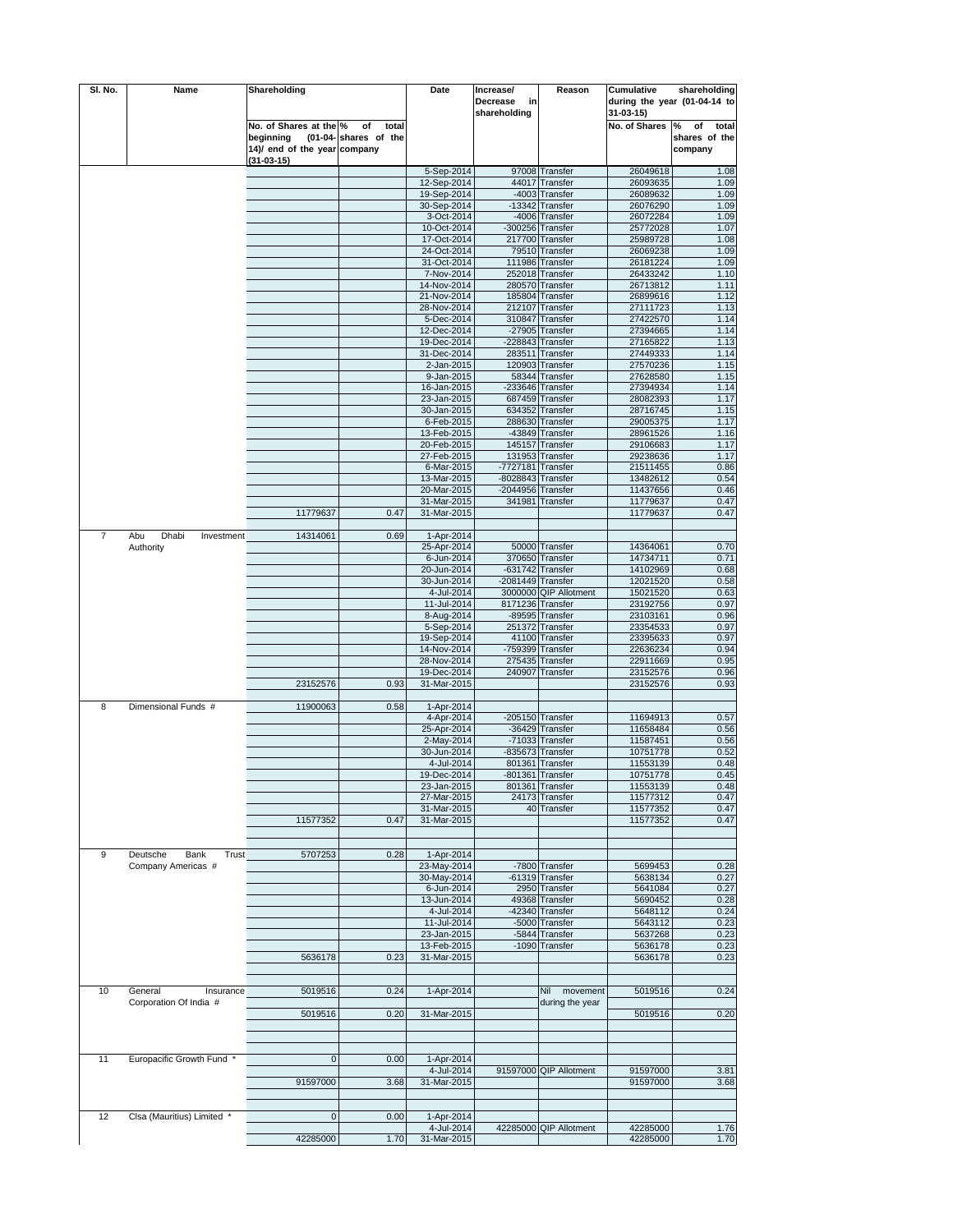| SI. No.        | Name                       | Shareholding                 |                       | Date                       | Increase/         | Reason                 | Cumulative                   | shareholding     |
|----------------|----------------------------|------------------------------|-----------------------|----------------------------|-------------------|------------------------|------------------------------|------------------|
|                |                            |                              |                       |                            | Decrease<br>in    |                        | during the year (01-04-14 to |                  |
|                |                            |                              |                       |                            | shareholding      |                        | $31 - 03 - 15$               |                  |
|                |                            | No. of Shares at the %       | of<br>total           |                            |                   |                        | No. of Shares                | of<br>total<br>% |
|                |                            | beginning                    | (01-04- shares of the |                            |                   |                        |                              | shares of the    |
|                |                            | 14)/ end of the year company |                       |                            |                   |                        |                              | company          |
|                |                            | (31-03-15)                   |                       |                            |                   |                        |                              |                  |
|                |                            |                              |                       | 5-Sep-2014                 |                   | 97008 Transfer         | 26049618                     | 1.08             |
|                |                            |                              |                       | 12-Sep-2014                | 44017             | Transfer               | 26093635                     | 1.09             |
|                |                            |                              |                       | 19-Sep-2014                |                   | -4003 Transfer         | 26089632                     | 1.09             |
|                |                            |                              |                       | 30-Sep-2014                |                   | -13342 Transfer        | 26076290                     | 1.09             |
|                |                            |                              |                       | 3-Oct-2014                 |                   | -4006 Transfer         | 26072284                     | 1.09             |
|                |                            |                              |                       | 10-Oct-2014                |                   | -300256 Transfer       | 25772028                     | 1.07             |
|                |                            |                              |                       | 17-Oct-2014                |                   | 217700 Transfer        | 25989728                     | 1.08             |
|                |                            |                              |                       | 24-Oct-2014                |                   | 79510 Transfer         | 26069238                     | 1.09             |
|                |                            |                              |                       |                            |                   |                        |                              |                  |
|                |                            |                              |                       | 31-Oct-2014                |                   | 111986 Transfer        | 26181224                     | 1.09             |
|                |                            |                              |                       | 7-Nov-2014                 | 252018            | Transfer               | 26433242                     | 1.10             |
|                |                            |                              |                       | 14-Nov-2014                | 280570            | Transfer               | 26713812                     | 1.11             |
|                |                            |                              |                       | 21-Nov-2014                |                   | 185804 Transfer        | 26899616                     | 1.12             |
|                |                            |                              |                       | 28-Nov-2014                |                   | 212107 Transfer        | 27111723                     | 1.13             |
|                |                            |                              |                       | 5-Dec-2014                 | 310847            | Transfer               | 27422570                     | 1.14             |
|                |                            |                              |                       | 12-Dec-2014                |                   | -27905 Transfer        | 27394665                     | 1.14             |
|                |                            |                              |                       | 19-Dec-2014                |                   | -228843 Transfer       | 27165822                     | 1.13             |
|                |                            |                              |                       | 31-Dec-2014                | 283511            | Transfer               | 27449333                     | 1.14             |
|                |                            |                              |                       | 2-Jan-2015                 | 120903            | Transfer               | 27570236                     | 1.15             |
|                |                            |                              |                       | 9-Jan-2015                 | 58344             | Transfer               | 27628580                     | 1.15             |
|                |                            |                              |                       | 16-Jan-2015                |                   | -233646 Transfer       | 27394934                     | 1.14             |
|                |                            |                              |                       | 23-Jan-2015                |                   | 687459 Transfer        | 28082393                     | 1.17             |
|                |                            |                              |                       | 30-Jan-2015                |                   | 634352 Transfer        | 28716745                     | 1.15             |
|                |                            |                              |                       | 6-Feb-2015                 |                   | 288630 Transfer        | 29005375                     | 1.17             |
|                |                            |                              |                       | 13-Feb-2015                |                   | -43849 Transfer        | 28961526                     | 1.16             |
|                |                            |                              |                       | 20-Feb-2015                |                   | 145157 Transfer        | 29106683                     | 1.17             |
|                |                            |                              |                       | 27-Feb-2015                |                   | 131953 Transfer        | 29238636                     | 1.17             |
|                |                            |                              |                       | 6-Mar-2015                 | $-7727181$        | Transfer               | 21511455                     | 0.86             |
|                |                            |                              |                       | 13-Mar-2015                | -8028843          | Transfer               | 13482612                     | 0.54             |
|                |                            |                              |                       | 20-Mar-2015                | $-2044956$        | Transfer               | 11437656                     | 0.46             |
|                |                            |                              |                       | 31-Mar-2015                | 341981            | Transfer               | 11779637                     | 0.47             |
|                |                            | 11779637                     | 0.47                  | 31-Mar-2015                |                   |                        |                              | 0.47             |
|                |                            |                              |                       |                            |                   |                        | 11779637                     |                  |
|                |                            |                              |                       |                            |                   |                        |                              |                  |
| $\overline{7}$ | Abu<br>Dhabi<br>Investment | 14314061                     | 0.69                  | 1-Apr-2014                 |                   |                        |                              |                  |
|                | Authority                  |                              |                       | 25-Apr-2014                |                   | 50000 Transfer         | 14364061                     | 0.70             |
|                |                            |                              |                       | 6-Jun-2014                 | 370650            | Transfer               | 14734711                     | 0.71             |
|                |                            |                              |                       | 20-Jun-2014                |                   | -631742 Transfer       | 14102969                     | 0.68             |
|                |                            |                              |                       | 30-Jun-2014                | -2081449 Transfer |                        | 12021520                     | 0.58             |
|                |                            |                              |                       | 4-Jul-2014                 |                   | 3000000 QIP Allotment  | 15021520                     | 0.63             |
|                |                            |                              |                       | 11-Jul-2014                | 8171236 Transfer  |                        | 23192756                     | 0.97             |
|                |                            |                              |                       | 8-Aug-2014                 |                   | -89595 Transfer        | 23103161                     | 0.96             |
|                |                            |                              |                       | 5-Sep-2014                 |                   | 251372 Transfer        | 23354533                     | 0.97             |
|                |                            |                              |                       | 19-Sep-2014                |                   | 41100 Transfer         | 23395633                     | 0.97             |
|                |                            |                              |                       | 14-Nov-2014                | $-759399$         | Transfer               | 22636234                     | 0.94             |
|                |                            |                              |                       | 28-Nov-2014                | 275435            | Transfer               | 22911669                     | 0.95             |
|                |                            |                              |                       | 19-Dec-2014                |                   | 240907 Transfer        | 23152576                     | 0.96             |
|                |                            | 23152576                     | 0.93                  | 31-Mar-2015                |                   |                        | 23152576                     | 0.93             |
|                |                            |                              |                       |                            |                   |                        |                              |                  |
| 8              | Dimensional Funds #        | 11900063                     | 0.58                  | 1-Apr-2014                 |                   |                        |                              |                  |
|                |                            |                              |                       | 4-Apr-2014                 |                   | -205150 Transfer       | 11694913                     | 0.57             |
|                |                            |                              |                       | 25-Apr-2014                |                   | -36429 Transfer        | 11658484                     | 0.56             |
|                |                            |                              |                       | 2-May-2014                 |                   | -71033 Transfer        | 11587451                     | 0.56             |
|                |                            |                              |                       | 30-Jun-2014                |                   | -835673 Transfer       | 10751778                     | 0.52             |
|                |                            |                              |                       | 4-Jul-2014                 |                   | 801361 Transfer        | 11553139                     | 0.48             |
|                |                            |                              |                       | 19-Dec-2014                |                   | -801361 Transfer       | 10751778                     | 0.45             |
|                |                            |                              |                       |                            |                   |                        |                              |                  |
|                |                            |                              |                       | 23-Jan-2015<br>27-Mar-2015 |                   | 801361 Transfer        | 11553139<br>11577312         | 0.48<br>0.47     |
|                |                            |                              |                       |                            | 24173             | Transfer               |                              |                  |
|                |                            |                              |                       | 31-Mar-2015                | 40                | Transfer               | 11577352                     | 0.47             |
|                |                            | 11577352                     | 0.47                  | 31-Mar-2015                |                   |                        | 11577352                     | 0.47             |
|                |                            |                              |                       |                            |                   |                        |                              |                  |
|                |                            |                              |                       |                            |                   |                        |                              |                  |
| 9              | Deutsche<br>Bank<br>Trust  | 5707253                      | 0.28                  | 1-Apr-2014                 |                   |                        |                              |                  |
|                | Company Americas #         |                              |                       | 23-May-2014                |                   | -7800 Transfer         | 5699453                      | 0.28             |
|                |                            |                              |                       | 30-May-2014                |                   | -61319 Transfer        | 5638134                      | 0.27             |
|                |                            |                              |                       | 6-Jun-2014                 |                   | 2950 Transfer          | 5641084                      | 0.27             |
|                |                            |                              |                       | 13-Jun-2014                |                   | 49368 Transfer         | 5690452                      | 0.28             |
|                |                            |                              |                       | 4-Jul-2014                 |                   | -42340 Transfer        | 5648112                      | 0.24             |
|                |                            |                              |                       | 11-Jul-2014                |                   | -5000 Transfer         | 5643112                      | 0.23             |
|                |                            |                              |                       | 23-Jan-2015                | $-5844$           | Transfer               | 5637268                      | 0.23             |
|                |                            |                              |                       | 13-Feb-2015                | $-1090$           | Transfer               | 5636178                      | 0.23             |
|                |                            | 5636178                      | 0.23                  | 31-Mar-2015                |                   |                        | 5636178                      | 0.23             |
|                |                            |                              |                       |                            |                   |                        |                              |                  |
|                |                            |                              |                       |                            |                   |                        |                              |                  |
| 10             | General<br>Insurance       | 5019516                      | 0.24                  | 1-Apr-2014                 |                   | Nil<br>movement        | 5019516                      | 0.24             |
|                | Corporation Of India #     |                              |                       |                            |                   | during the year        |                              |                  |
|                |                            | 5019516                      | 0.20                  | 31-Mar-2015                |                   |                        | 5019516                      | 0.20             |
|                |                            |                              |                       |                            |                   |                        |                              |                  |
|                |                            |                              |                       |                            |                   |                        |                              |                  |
|                |                            |                              |                       |                            |                   |                        |                              |                  |
| 11             | Europacific Growth Fund *  | $\mathbf{0}$                 | 0.00                  | 1-Apr-2014                 |                   |                        |                              |                  |
|                |                            |                              |                       | 4-Jul-2014                 |                   | 91597000 QIP Allotment | 91597000                     | 3.81             |
|                |                            | 91597000                     | 3.68                  | 31-Mar-2015                |                   |                        | 91597000                     | 3.68             |
|                |                            |                              |                       |                            |                   |                        |                              |                  |
|                |                            |                              |                       |                            |                   |                        |                              |                  |
| 12             | Clsa (Mauritius) Limited   | $\pmb{0}$                    | 0.00                  | 1-Apr-2014                 |                   |                        |                              |                  |
|                |                            |                              |                       | 4-Jul-2014                 |                   | 42285000 QIP Allotment | 42285000                     | 1.76             |
|                |                            | 42285000                     | 1.70                  | 31-Mar-2015                |                   |                        | 42285000                     | 1.70             |
|                |                            |                              |                       |                            |                   |                        |                              |                  |